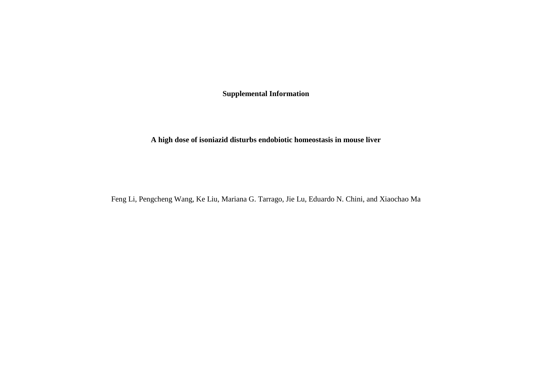**Supplemental Information**

**A high dose of isoniazid disturbs endobiotic homeostasis in mouse liver**

Feng Li, Pengcheng Wang, Ke Liu, Mariana G. Tarrago, Jie Lu, Eduardo N. Chini, and Xiaochao Ma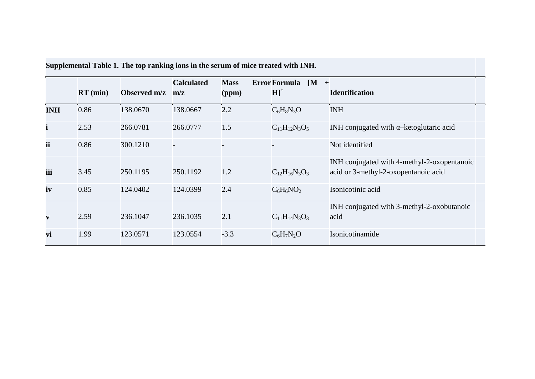|              | $RT$ (min) | Observed m/z | <b>Calculated</b><br>m/z | <b>Mass</b><br>(ppm) | Error Formula $[M +]$<br>$H]$ <sup>+</sup> | <b>Identification</b>                                                               |
|--------------|------------|--------------|--------------------------|----------------------|--------------------------------------------|-------------------------------------------------------------------------------------|
| <b>INH</b>   | 0.86       | 138.0670     | 138.0667                 | 2.2                  | $C_6H_8N_3O$                               | <b>INH</b>                                                                          |
| $\mathbf{i}$ | 2.53       | 266.0781     | 266.0777                 | 1.5                  | $C_{11}H_{12}N_3O_5$                       | INH conjugated with $\alpha$ -ketoglutaric acid                                     |
| ii           | 0.86       | 300.1210     |                          |                      |                                            | Not identified                                                                      |
| iii          | 3.45       | 250.1195     | 250.1192                 | 1.2                  | $C_{12}H_{16}N_3O_3$                       | INH conjugated with 4-methyl-2-oxopentanoic<br>acid or 3-methyl-2-oxopentanoic acid |
| iv           | 0.85       | 124.0402     | 124.0399                 | 2.4                  | $C_6H_6NO_2$                               | Isonicotinic acid                                                                   |
| $\mathbf{v}$ | 2.59       | 236.1047     | 236.1035                 | 2.1                  | $C_{11}H_{14}N_3O_3$                       | INH conjugated with 3-methyl-2-oxobutanoic<br>acid                                  |
| vi           | 1.99       | 123.0571     | 123.0554                 | $-3.3$               | $C_6H_7N_2O$                               | Isonicotinamide                                                                     |

**Supplemental Table 1. The top ranking ions in the serum of mice treated with INH.**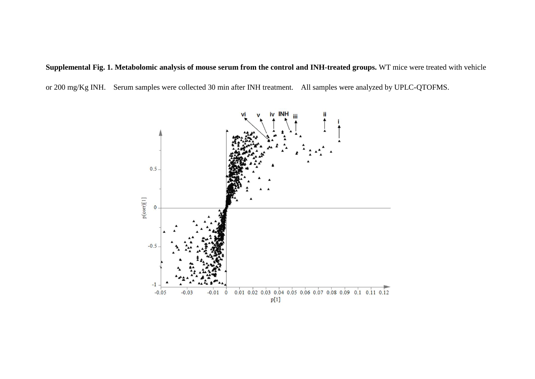## **Supplemental Fig. 1. Metabolomic analysis of mouse serum from the control and INH-treated groups.** WT mice were treated with vehicle or 200 mg/Kg INH. Serum samples were collected 30 min after INH treatment. All samples were analyzed by UPLC-QTOFMS.